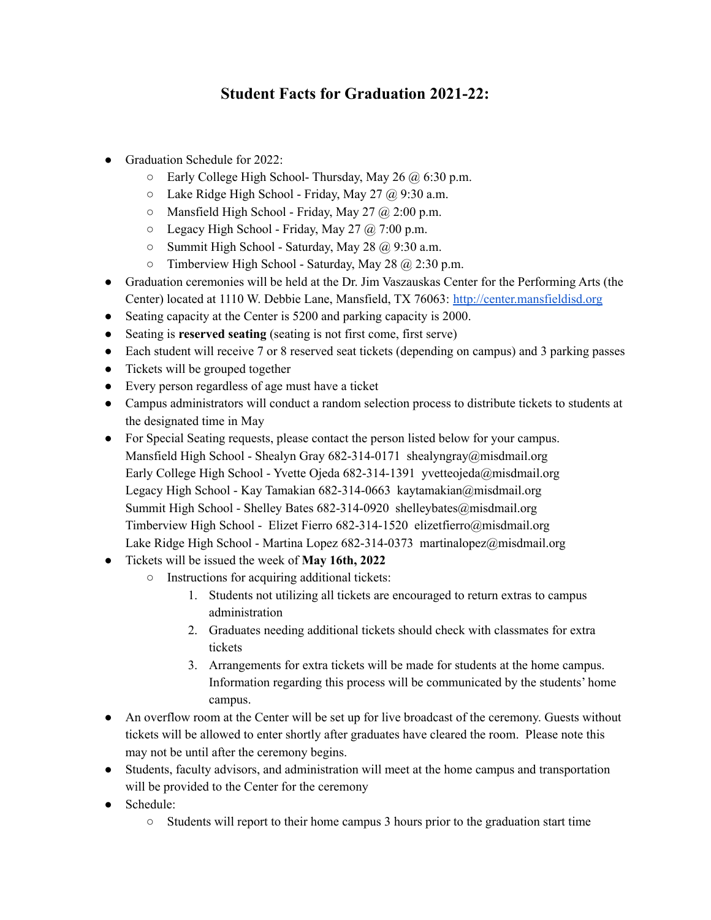## **Student Facts for Graduation 2021-22:**

- Graduation Schedule for 2022:
	- $\circ$  Early College High School- Thursday, May 26  $\omega$  6:30 p.m.
	- $O$  Lake Ridge High School Friday, May 27  $\omega$  9:30 a.m.
	- $\circ$  Mansfield High School Friday, May 27 @ 2:00 p.m.
	- $\circ$  Legacy High School Friday, May 27  $\omega$  7:00 p.m.
	- $\circ$  Summit High School Saturday, May 28 @ 9:30 a.m.
	- $\circ$  Timberview High School Saturday, May 28  $\omega$  2:30 p.m.
- Graduation ceremonies will be held at the Dr. Jim Vaszauskas Center for the Performing Arts (the Center) located at 1110 W. Debbie Lane, Mansfield, TX 76063: <http://center.mansfieldisd.org>
- Seating capacity at the Center is 5200 and parking capacity is 2000.
- Seating is **reserved seating** (seating is not first come, first serve)
- Each student will receive 7 or 8 reserved seat tickets (depending on campus) and 3 parking passes
- Tickets will be grouped together
- Every person regardless of age must have a ticket
- Campus administrators will conduct a random selection process to distribute tickets to students at the designated time in May
- For Special Seating requests, please contact the person listed below for your campus. Mansfield High School - Shealyn Gray 682-314-0171 shealyngray@misdmail.org Early College High School - Yvette Ojeda 682-314-1391 yvetteojeda@misdmail.org Legacy High School - Kay Tamakian 682-314-0663 kaytamakian@misdmail.org Summit High School - Shelley Bates 682-314-0920 shelleybates@misdmail.org Timberview High School - Elizet Fierro 682-314-1520 elizetfierro@misdmail.org Lake Ridge High School - Martina Lopez 682-314-0373 martinalopez@misdmail.org
- Tickets will be issued the week of **May 16th, 2022**
	- Instructions for acquiring additional tickets:
		- 1. Students not utilizing all tickets are encouraged to return extras to campus administration
		- 2. Graduates needing additional tickets should check with classmates for extra tickets
		- 3. Arrangements for extra tickets will be made for students at the home campus. Information regarding this process will be communicated by the students' home campus.
- An overflow room at the Center will be set up for live broadcast of the ceremony. Guests without tickets will be allowed to enter shortly after graduates have cleared the room. Please note this may not be until after the ceremony begins.
- Students, faculty advisors, and administration will meet at the home campus and transportation will be provided to the Center for the ceremony
- Schedule:
	- $\circ$  Students will report to their home campus 3 hours prior to the graduation start time